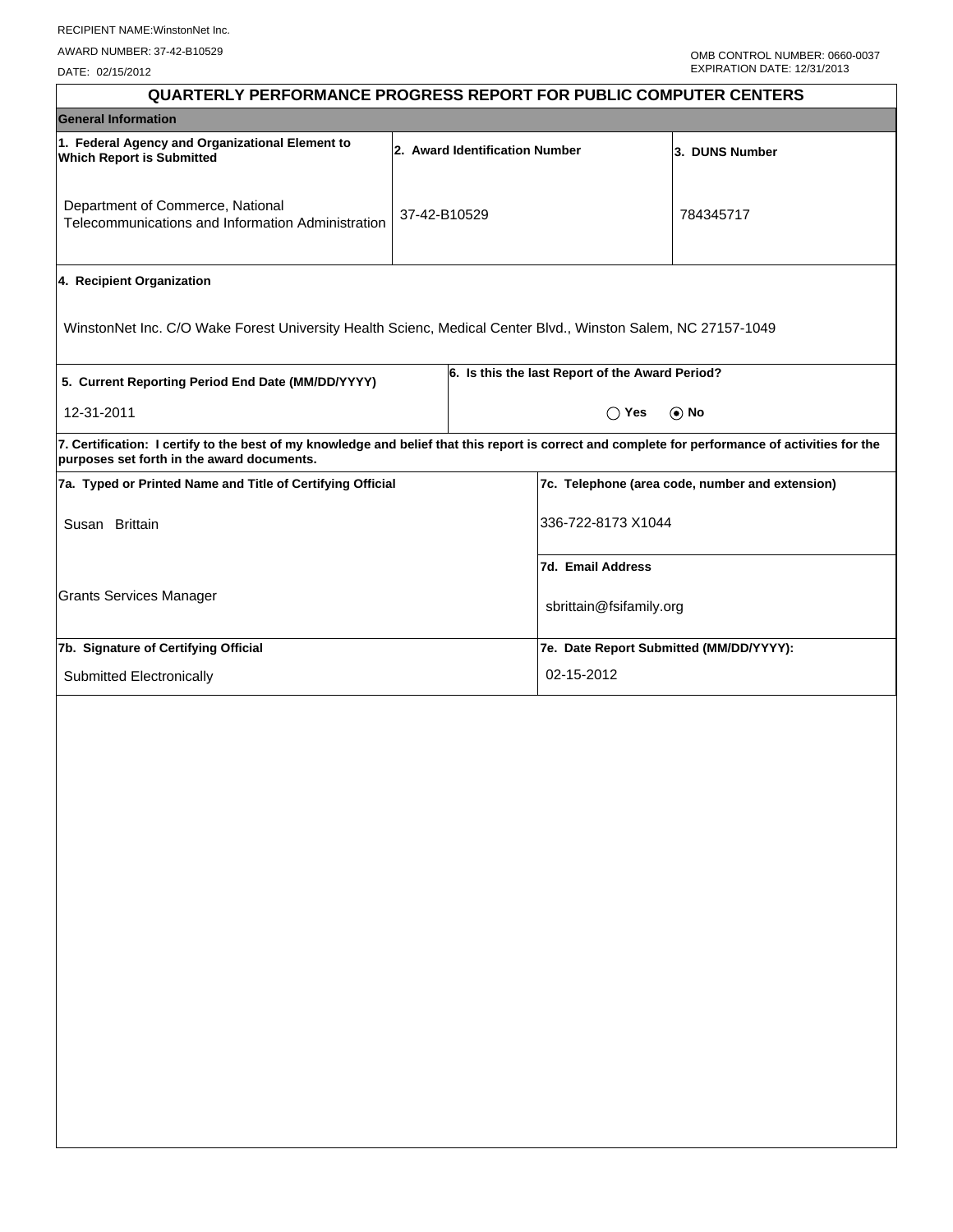DATE: 02/15/2012

| <b>QUARTERLY PERFORMANCE PROGRESS REPORT FOR PUBLIC COMPUTER CENTERS</b>                                                                                                                        |              |                    |                                                 |                                                 |  |  |
|-------------------------------------------------------------------------------------------------------------------------------------------------------------------------------------------------|--------------|--------------------|-------------------------------------------------|-------------------------------------------------|--|--|
| <b>General Information</b>                                                                                                                                                                      |              |                    |                                                 |                                                 |  |  |
| 1. Federal Agency and Organizational Element to<br>2. Award Identification Number<br><b>Which Report is Submitted</b>                                                                           |              |                    |                                                 | 3. DUNS Number                                  |  |  |
| Department of Commerce, National<br>Telecommunications and Information Administration                                                                                                           | 37-42-B10529 |                    |                                                 | 784345717                                       |  |  |
| 4. Recipient Organization                                                                                                                                                                       |              |                    |                                                 |                                                 |  |  |
| WinstonNet Inc. C/O Wake Forest University Health Scienc, Medical Center Blvd., Winston Salem, NC 27157-1049                                                                                    |              |                    |                                                 |                                                 |  |  |
| 5. Current Reporting Period End Date (MM/DD/YYYY)                                                                                                                                               |              |                    | 6. Is this the last Report of the Award Period? |                                                 |  |  |
| 12-31-2011                                                                                                                                                                                      |              |                    | $\bigcirc$ Yes                                  | $\odot$ No                                      |  |  |
| 7. Certification: I certify to the best of my knowledge and belief that this report is correct and complete for performance of activities for the<br>purposes set forth in the award documents. |              |                    |                                                 |                                                 |  |  |
| 7a. Typed or Printed Name and Title of Certifying Official                                                                                                                                      |              |                    |                                                 | 7c. Telephone (area code, number and extension) |  |  |
| Susan Brittain                                                                                                                                                                                  |              | 336-722-8173 X1044 |                                                 |                                                 |  |  |
|                                                                                                                                                                                                 |              |                    | 7d. Email Address                               |                                                 |  |  |
| <b>Grants Services Manager</b>                                                                                                                                                                  |              |                    | sbrittain@fsifamily.org                         |                                                 |  |  |
| 7b. Signature of Certifying Official                                                                                                                                                            |              |                    | 7e. Date Report Submitted (MM/DD/YYYY):         |                                                 |  |  |
| Submitted Electronically                                                                                                                                                                        |              |                    | 02-15-2012                                      |                                                 |  |  |
|                                                                                                                                                                                                 |              |                    |                                                 |                                                 |  |  |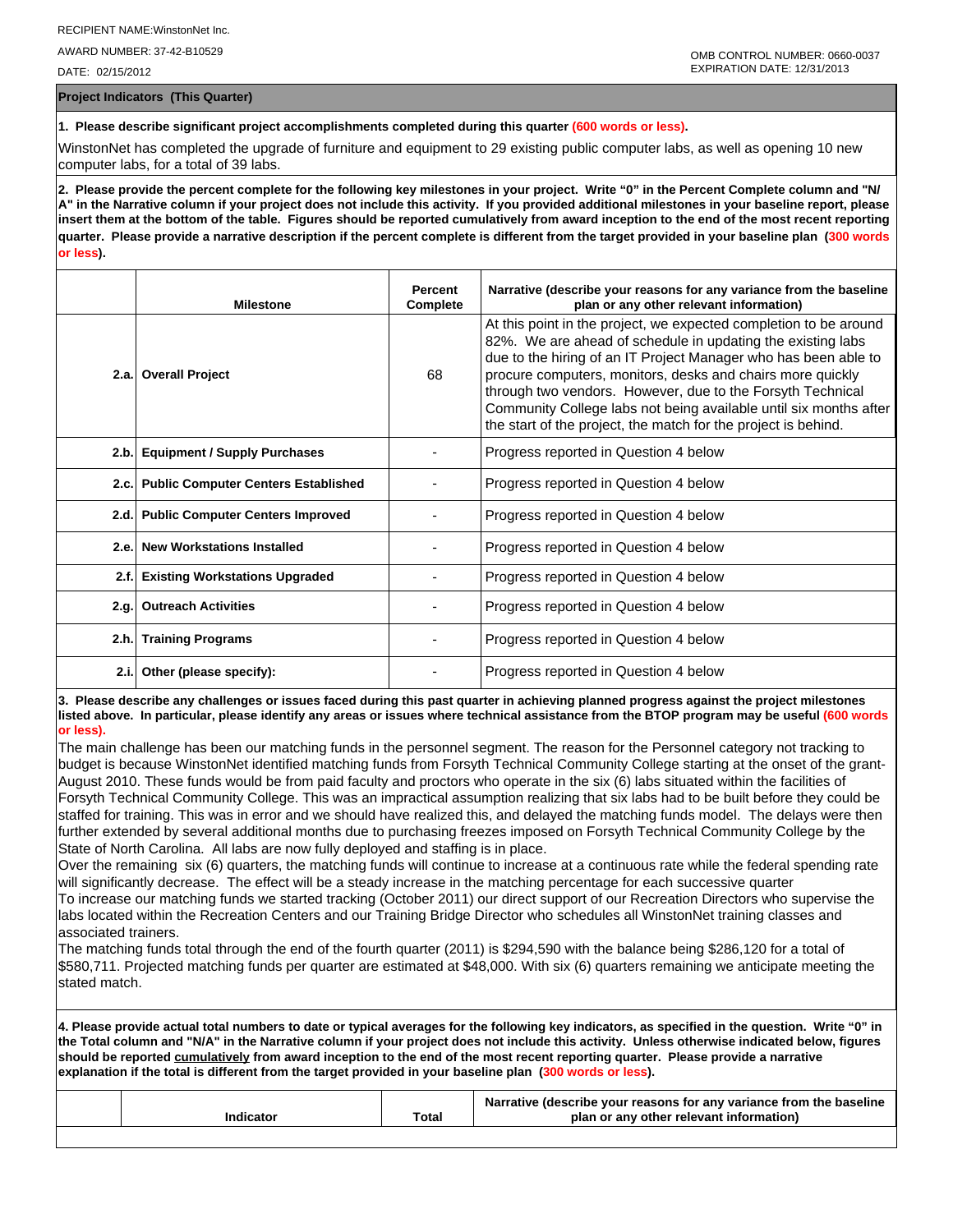AWARD NUMBER: 37-42-B10529

DATE: 02/15/2012

**Project Indicators (This Quarter)**

**1. Please describe significant project accomplishments completed during this quarter (600 words or less).**

WinstonNet has completed the upgrade of furniture and equipment to 29 existing public computer labs, as well as opening 10 new computer labs, for a total of 39 labs.

**2. Please provide the percent complete for the following key milestones in your project. Write "0" in the Percent Complete column and "N/ A" in the Narrative column if your project does not include this activity. If you provided additional milestones in your baseline report, please insert them at the bottom of the table. Figures should be reported cumulatively from award inception to the end of the most recent reporting quarter. Please provide a narrative description if the percent complete is different from the target provided in your baseline plan (300 words or less).**

|      | <b>Milestone</b>                         | <b>Percent</b><br>Complete | Narrative (describe your reasons for any variance from the baseline<br>plan or any other relevant information)                                                                                                                                                                                                                                                                                                                                                         |
|------|------------------------------------------|----------------------------|------------------------------------------------------------------------------------------------------------------------------------------------------------------------------------------------------------------------------------------------------------------------------------------------------------------------------------------------------------------------------------------------------------------------------------------------------------------------|
|      | 2.a. Overall Project                     | 68                         | At this point in the project, we expected completion to be around<br>82%. We are ahead of schedule in updating the existing labs<br>due to the hiring of an IT Project Manager who has been able to<br>procure computers, monitors, desks and chairs more quickly<br>through two vendors. However, due to the Forsyth Technical<br>Community College labs not being available until six months after<br>the start of the project, the match for the project is behind. |
|      | 2.b. Equipment / Supply Purchases        |                            | Progress reported in Question 4 below                                                                                                                                                                                                                                                                                                                                                                                                                                  |
|      | 2.c. Public Computer Centers Established |                            | Progress reported in Question 4 below                                                                                                                                                                                                                                                                                                                                                                                                                                  |
|      | 2.d. Public Computer Centers Improved    |                            | Progress reported in Question 4 below                                                                                                                                                                                                                                                                                                                                                                                                                                  |
|      | 2.e. New Workstations Installed          |                            | Progress reported in Question 4 below                                                                                                                                                                                                                                                                                                                                                                                                                                  |
| 2.f. | <b>Existing Workstations Upgraded</b>    |                            | Progress reported in Question 4 below                                                                                                                                                                                                                                                                                                                                                                                                                                  |
|      | 2.g. Outreach Activities                 |                            | Progress reported in Question 4 below                                                                                                                                                                                                                                                                                                                                                                                                                                  |
|      | 2.h. Training Programs                   |                            | Progress reported in Question 4 below                                                                                                                                                                                                                                                                                                                                                                                                                                  |
|      | 2.i. Other (please specify):             |                            | Progress reported in Question 4 below                                                                                                                                                                                                                                                                                                                                                                                                                                  |

**3. Please describe any challenges or issues faced during this past quarter in achieving planned progress against the project milestones listed above. In particular, please identify any areas or issues where technical assistance from the BTOP program may be useful (600 words or less).**

The main challenge has been our matching funds in the personnel segment. The reason for the Personnel category not tracking to budget is because WinstonNet identified matching funds from Forsyth Technical Community College starting at the onset of the grant-August 2010. These funds would be from paid faculty and proctors who operate in the six (6) labs situated within the facilities of Forsyth Technical Community College. This was an impractical assumption realizing that six labs had to be built before they could be staffed for training. This was in error and we should have realized this, and delayed the matching funds model. The delays were then further extended by several additional months due to purchasing freezes imposed on Forsyth Technical Community College by the State of North Carolina. All labs are now fully deployed and staffing is in place.

Over the remaining six (6) quarters, the matching funds will continue to increase at a continuous rate while the federal spending rate will significantly decrease. The effect will be a steady increase in the matching percentage for each successive quarter To increase our matching funds we started tracking (October 2011) our direct support of our Recreation Directors who supervise the labs located within the Recreation Centers and our Training Bridge Director who schedules all WinstonNet training classes and associated trainers.

The matching funds total through the end of the fourth quarter (2011) is \$294,590 with the balance being \$286,120 for a total of \$580,711. Projected matching funds per quarter are estimated at \$48,000. With six (6) quarters remaining we anticipate meeting the stated match.

**4. Please provide actual total numbers to date or typical averages for the following key indicators, as specified in the question. Write "0" in the Total column and "N/A" in the Narrative column if your project does not include this activity. Unless otherwise indicated below, figures should be reported cumulatively from award inception to the end of the most recent reporting quarter. Please provide a narrative explanation if the total is different from the target provided in your baseline plan (300 words or less).** 

|           |       | Narrative (describe your reasons for any variance from the baseline |
|-----------|-------|---------------------------------------------------------------------|
| Indicator | Total | plan or any other relevant information)                             |
|           |       |                                                                     |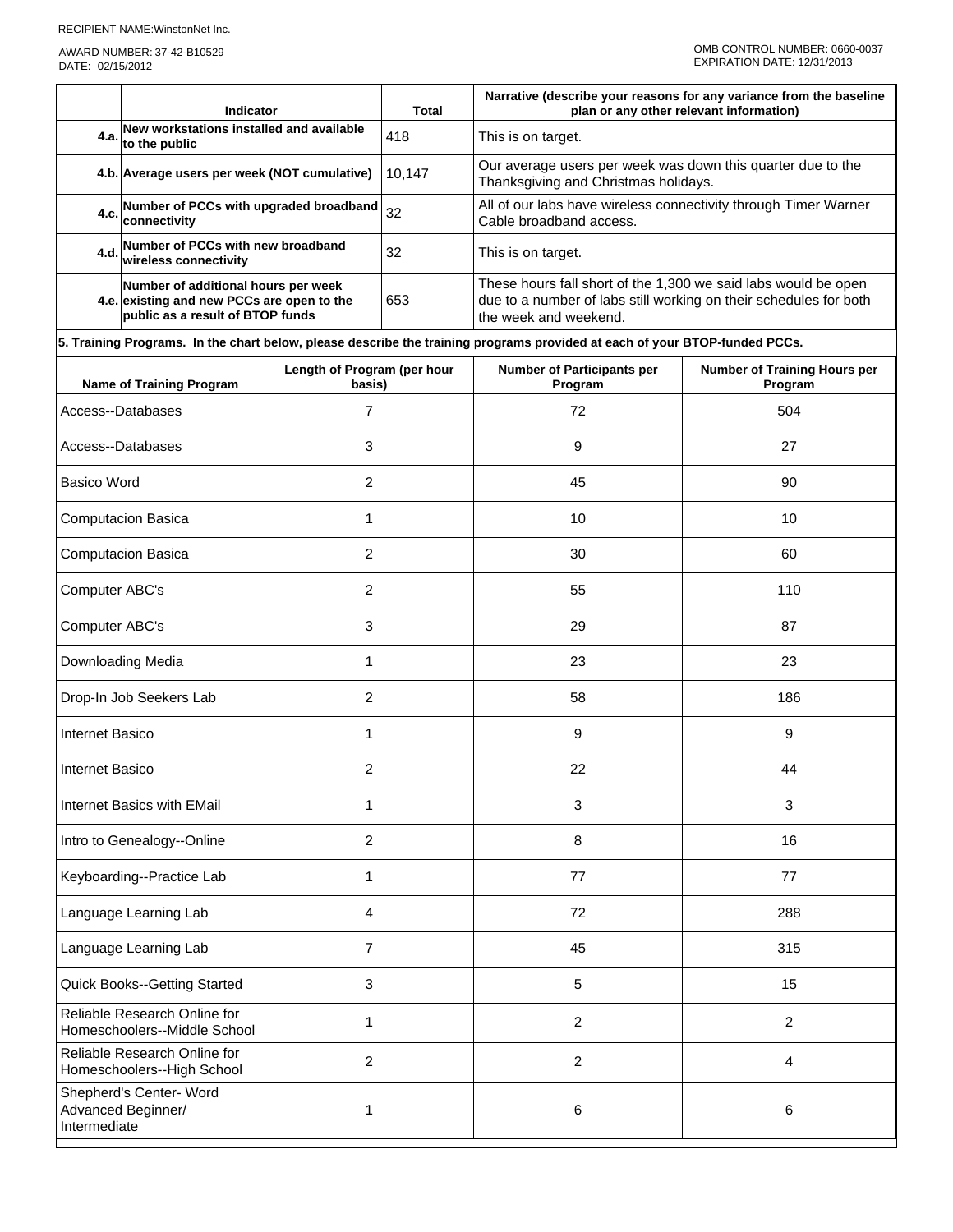AWARD NUMBER: 37-42-B10529 DATE: 02/15/2012

|                                                                   | Indicator<br><b>Total</b>                                                                                             |                                       |                | Narrative (describe your reasons for any variance from the baseline<br>plan or any other relevant information)                                               |                                                |  |  |
|-------------------------------------------------------------------|-----------------------------------------------------------------------------------------------------------------------|---------------------------------------|----------------|--------------------------------------------------------------------------------------------------------------------------------------------------------------|------------------------------------------------|--|--|
| 4.a.                                                              | New workstations installed and available<br>to the public                                                             |                                       | 418            | This is on target.                                                                                                                                           |                                                |  |  |
|                                                                   | 4.b. Average users per week (NOT cumulative)                                                                          |                                       | 10,147         | Our average users per week was down this quarter due to the<br>Thanksgiving and Christmas holidays.                                                          |                                                |  |  |
|                                                                   | 4.c. Number of PCCs with upgraded broadband<br>connectivity                                                           |                                       | 32             | All of our labs have wireless connectivity through Timer Warner<br>Cable broadband access.                                                                   |                                                |  |  |
| 4.d.                                                              | Number of PCCs with new broadband<br>wireless connectivity                                                            |                                       | 32             | This is on target.                                                                                                                                           |                                                |  |  |
|                                                                   | Number of additional hours per week<br>4.e. existing and new PCCs are open to the<br>public as a result of BTOP funds |                                       | 653            | These hours fall short of the 1,300 we said labs would be open<br>due to a number of labs still working on their schedules for both<br>the week and weekend. |                                                |  |  |
|                                                                   |                                                                                                                       |                                       |                | 5. Training Programs. In the chart below, please describe the training programs provided at each of your BTOP-funded PCCs.                                   |                                                |  |  |
|                                                                   | <b>Name of Training Program</b>                                                                                       | Length of Program (per hour<br>basis) |                | <b>Number of Participants per</b><br>Program                                                                                                                 | <b>Number of Training Hours per</b><br>Program |  |  |
|                                                                   | Access--Databases                                                                                                     | 7                                     |                | 72                                                                                                                                                           | 504                                            |  |  |
|                                                                   | Access--Databases                                                                                                     | 3                                     |                | 9                                                                                                                                                            | 27                                             |  |  |
| <b>Basico Word</b>                                                |                                                                                                                       | 2                                     |                | 45                                                                                                                                                           | 90                                             |  |  |
|                                                                   | <b>Computacion Basica</b>                                                                                             | 1                                     |                | 10                                                                                                                                                           | 10                                             |  |  |
| <b>Computacion Basica</b><br>2                                    |                                                                                                                       |                                       | 30             | 60                                                                                                                                                           |                                                |  |  |
| $\overline{c}$<br>Computer ABC's                                  |                                                                                                                       |                                       | 55             | 110                                                                                                                                                          |                                                |  |  |
| 3<br>Computer ABC's                                               |                                                                                                                       |                                       | 29             | 87                                                                                                                                                           |                                                |  |  |
| Downloading Media<br>1                                            |                                                                                                                       |                                       | 23             | 23                                                                                                                                                           |                                                |  |  |
| Drop-In Job Seekers Lab<br>2                                      |                                                                                                                       |                                       | 58             | 186                                                                                                                                                          |                                                |  |  |
| Internet Basico<br>1                                              |                                                                                                                       |                                       | 9              | 9                                                                                                                                                            |                                                |  |  |
| 2<br>Internet Basico                                              |                                                                                                                       |                                       | 22             | 44                                                                                                                                                           |                                                |  |  |
| Internet Basics with EMail<br>1                                   |                                                                                                                       |                                       | 3              | $\mathbf{3}$                                                                                                                                                 |                                                |  |  |
|                                                                   | Intro to Genealogy--Online                                                                                            | $\overline{2}$                        |                | $\,8\,$                                                                                                                                                      | 16                                             |  |  |
| Keyboarding--Practice Lab<br>1                                    |                                                                                                                       |                                       | 77             | 77                                                                                                                                                           |                                                |  |  |
| Language Learning Lab<br>4                                        |                                                                                                                       |                                       | 72             | 288                                                                                                                                                          |                                                |  |  |
| Language Learning Lab<br>7                                        |                                                                                                                       |                                       | 45             | 315                                                                                                                                                          |                                                |  |  |
|                                                                   | 3<br><b>Quick Books--Getting Started</b>                                                                              |                                       |                | 5                                                                                                                                                            | 15                                             |  |  |
| Reliable Research Online for<br>1<br>Homeschoolers--Middle School |                                                                                                                       |                                       | $\overline{c}$ | $\overline{c}$                                                                                                                                               |                                                |  |  |
|                                                                   | Reliable Research Online for<br>2<br>Homeschoolers--High School                                                       |                                       |                | $\overline{c}$                                                                                                                                               | 4                                              |  |  |
| Shepherd's Center- Word<br>Advanced Beginner/<br>Intermediate     |                                                                                                                       | 1                                     |                | 6                                                                                                                                                            | 6                                              |  |  |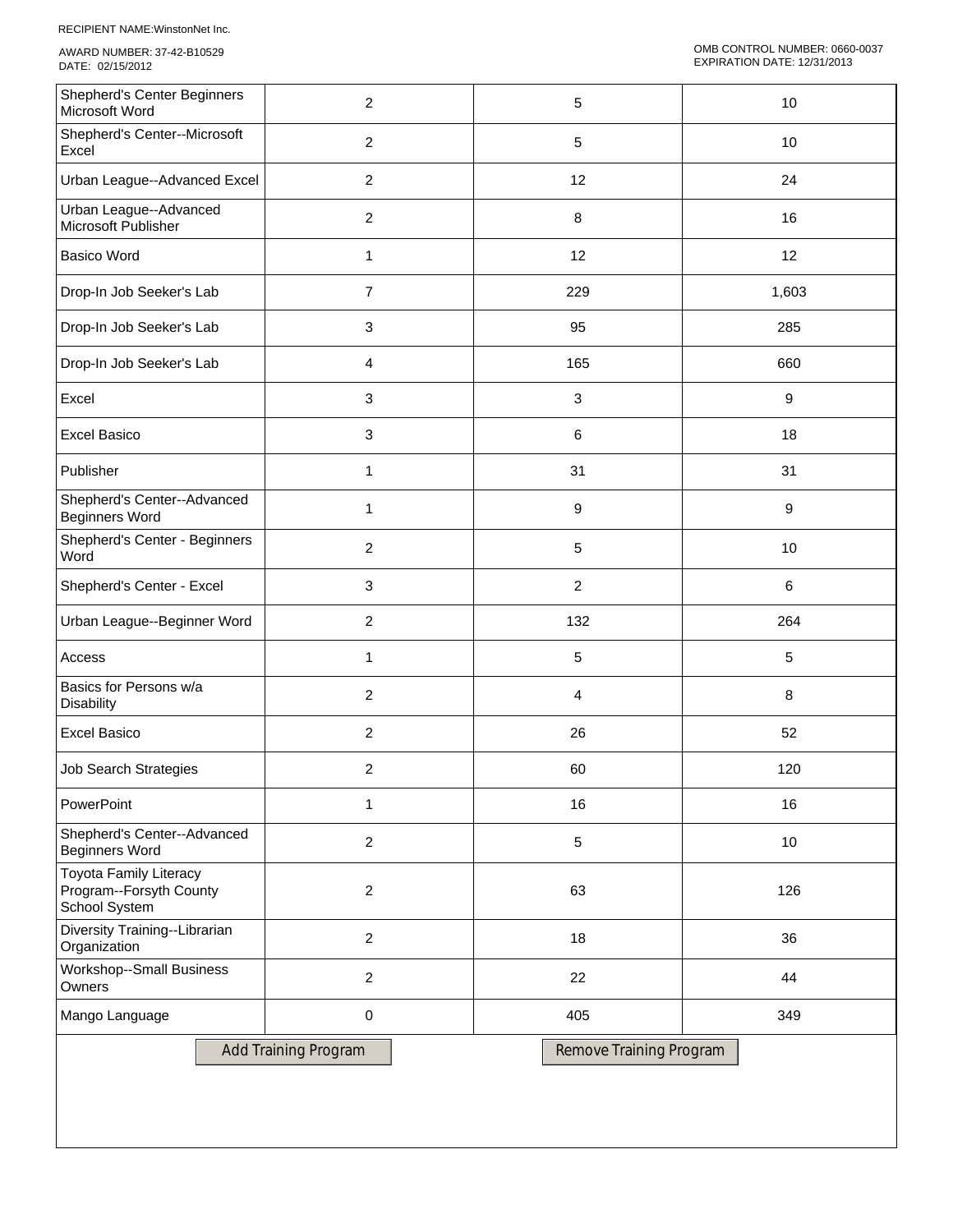RECIPIENT NAME:WinstonNet Inc.

AWARD NUMBER: 37-42-B10529 DATE: 02/15/2012

| <b>Shepherd's Center Beginners</b><br>Microsoft Word                      | $\overline{2}$              | $\sqrt{5}$              | 10               |
|---------------------------------------------------------------------------|-----------------------------|-------------------------|------------------|
| Shepherd's Center--Microsoft<br>Excel                                     | $\overline{2}$              | 5                       | 10               |
| Urban League--Advanced Excel                                              | $\overline{c}$              | 12                      | 24               |
| Urban League--Advanced<br>Microsoft Publisher                             | $\overline{c}$              | 8                       | 16               |
| <b>Basico Word</b>                                                        | $\mathbf{1}$                | 12                      | 12               |
| Drop-In Job Seeker's Lab                                                  | $\overline{7}$              | 229                     | 1,603            |
| Drop-In Job Seeker's Lab                                                  | 3                           | 95                      | 285              |
| Drop-In Job Seeker's Lab                                                  | 4                           | 165                     | 660              |
| Excel                                                                     | 3                           | 3                       | $\boldsymbol{9}$ |
| <b>Excel Basico</b>                                                       | 3                           | 6                       | 18               |
| Publisher                                                                 | 1                           | 31                      | 31               |
| Shepherd's Center--Advanced<br><b>Beginners Word</b>                      | $\mathbf{1}$                | 9                       | $\boldsymbol{9}$ |
| Shepherd's Center - Beginners<br>Word                                     | $\overline{c}$              | $\sqrt{5}$              | 10               |
| Shepherd's Center - Excel                                                 | 3                           | $\overline{2}$          | 6                |
| Urban League--Beginner Word                                               | $\overline{2}$              | 132                     | 264              |
| Access                                                                    | 1                           | $\sqrt{5}$              | $\sqrt{5}$       |
| Basics for Persons w/a<br><b>Disability</b>                               | $\overline{c}$              | $\overline{a}$          | 8                |
| <b>Excel Basico</b>                                                       | $\overline{c}$              | 26                      | 52               |
| <b>Job Search Strategies</b>                                              | $\overline{\mathbf{c}}$     | 60                      | 120              |
| PowerPoint                                                                | $\mathbf{1}$                | 16                      | 16               |
| Shepherd's Center--Advanced<br><b>Beginners Word</b>                      | $\overline{2}$              | $\sqrt{5}$              | 10               |
| <b>Toyota Family Literacy</b><br>Program--Forsyth County<br>School System | $\overline{c}$              | 63                      | 126              |
| Diversity Training--Librarian<br>Organization                             | $\overline{2}$              | 18                      | 36               |
| <b>Workshop--Small Business</b><br>Owners                                 | $\overline{2}$              | 22                      | 44               |
| Mango Language                                                            | $\pmb{0}$                   | 405                     | 349              |
|                                                                           | <b>Add Training Program</b> | Remove Training Program |                  |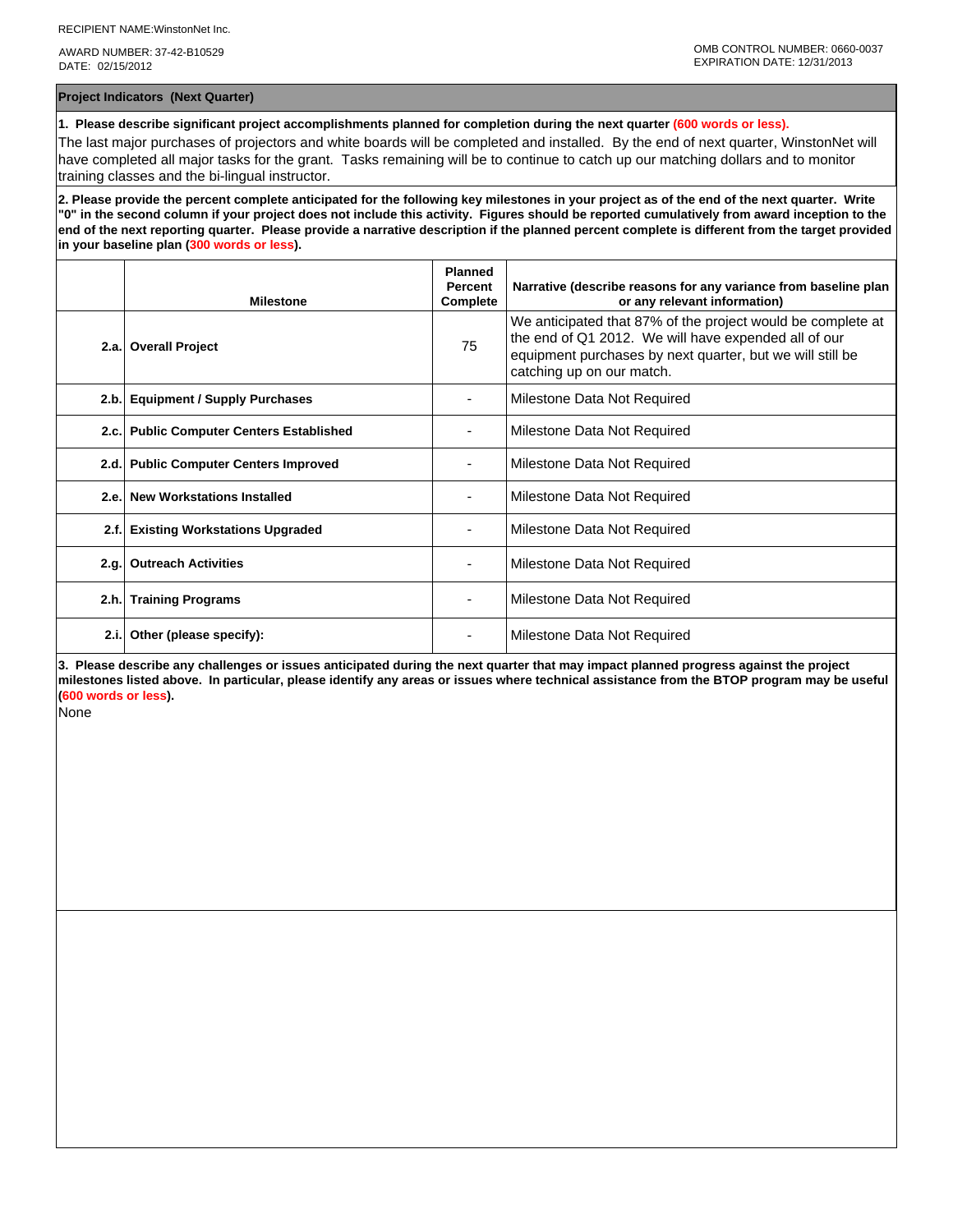AWARD NUMBER: 37-42-B10529 DATE: 02/15/2012

**Project Indicators (Next Quarter)**

**1. Please describe significant project accomplishments planned for completion during the next quarter (600 words or less).**

The last major purchases of projectors and white boards will be completed and installed. By the end of next quarter, WinstonNet will have completed all major tasks for the grant. Tasks remaining will be to continue to catch up our matching dollars and to monitor training classes and the bi-lingual instructor.

**2. Please provide the percent complete anticipated for the following key milestones in your project as of the end of the next quarter. Write "0" in the second column if your project does not include this activity. Figures should be reported cumulatively from award inception to the end of the next reporting quarter. Please provide a narrative description if the planned percent complete is different from the target provided in your baseline plan (300 words or less).**

|       | <b>Milestone</b>                           | <b>Planned</b><br><b>Percent</b><br>Complete | Narrative (describe reasons for any variance from baseline plan<br>or any relevant information)                                                                                                               |
|-------|--------------------------------------------|----------------------------------------------|---------------------------------------------------------------------------------------------------------------------------------------------------------------------------------------------------------------|
|       | 2.a. Overall Project                       | 75                                           | We anticipated that 87% of the project would be complete at<br>the end of Q1 2012. We will have expended all of our<br>equipment purchases by next quarter, but we will still be<br>catching up on our match. |
| 2.b.  | <b>Equipment / Supply Purchases</b>        |                                              | Milestone Data Not Required                                                                                                                                                                                   |
| 2.c.  | <b>Public Computer Centers Established</b> |                                              | Milestone Data Not Required                                                                                                                                                                                   |
| 2.d.  | <b>Public Computer Centers Improved</b>    |                                              | Milestone Data Not Required                                                                                                                                                                                   |
| 2.e.  | <b>New Workstations Installed</b>          |                                              | Milestone Data Not Required                                                                                                                                                                                   |
| 2.f.  | <b>Existing Workstations Upgraded</b>      |                                              | Milestone Data Not Required                                                                                                                                                                                   |
| 2.q.  | <b>Outreach Activities</b>                 |                                              | Milestone Data Not Required                                                                                                                                                                                   |
| 2.h.  | <b>Training Programs</b>                   |                                              | Milestone Data Not Required                                                                                                                                                                                   |
| 2.i.l | Other (please specify):                    |                                              | Milestone Data Not Required                                                                                                                                                                                   |

**3. Please describe any challenges or issues anticipated during the next quarter that may impact planned progress against the project milestones listed above. In particular, please identify any areas or issues where technical assistance from the BTOP program may be useful (600 words or less).**

None